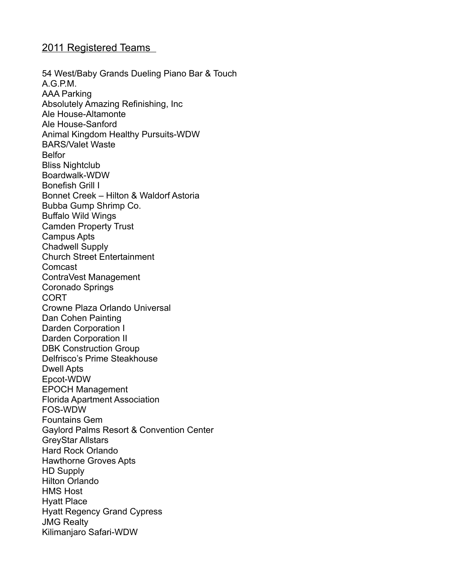## 2011 Registered Teams

54 West/Baby Grands Dueling Piano Bar & Touch A.G.P.M. AAA Parking Absolutely Amazing Refinishing, Inc Ale House-Altamonte Ale House-Sanford Animal Kingdom Healthy Pursuits-WDW BARS/Valet Waste Belfor Bliss Nightclub Boardwalk-WDW Bonefish Grill I Bonnet Creek – Hilton & Waldorf Astoria Bubba Gump Shrimp Co. Buffalo Wild Wings Camden Property Trust Campus Apts Chadwell Supply Church Street Entertainment Comcast ContraVest Management Coronado Springs CORT Crowne Plaza Orlando Universal Dan Cohen Painting Darden Corporation I Darden Corporation II DBK Construction Group Delfrisco's Prime Steakhouse Dwell Apts Epcot-WDW EPOCH Management Florida Apartment Association FOS-WDW Fountains Gem Gaylord Palms Resort & Convention Center GreyStar Allstars Hard Rock Orlando Hawthorne Groves Apts HD Supply Hilton Orlando HMS Host Hyatt Place Hyatt Regency Grand Cypress JMG Realty Kilimanjaro Safari-WDW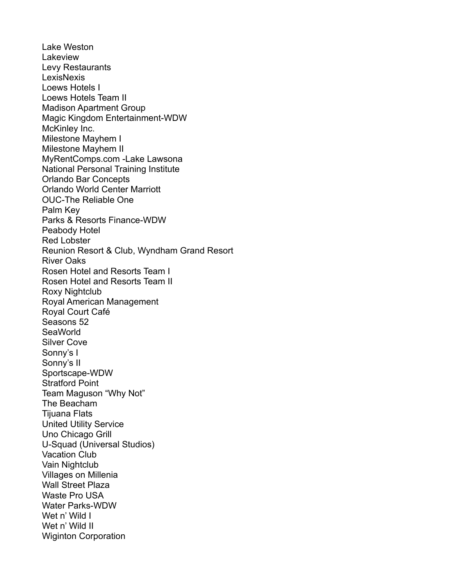Lake Weston Lakeview Levy Restaurants **LexisNexis** Loews Hotels I Loews Hotels Team II Madison Apartment Group Magic Kingdom Entertainment-WDW McKinley Inc. Milestone Mayhem I Milestone Mayhem II MyRentComps.com -Lake Lawsona National Personal Training Institute Orlando Bar Concepts Orlando World Center Marriott OUC-The Reliable One Palm Key Parks & Resorts Finance-WDW Peabody Hotel Red Lobster Reunion Resort & Club, Wyndham Grand Resort River Oaks Rosen Hotel and Resorts Team I Rosen Hotel and Resorts Team II Roxy Nightclub Royal American Management Royal Court Café Seasons 52 **SeaWorld** Silver Cove Sonny's I Sonny's II Sportscape-WDW Stratford Point Team Maguson "Why Not" The Beacham Tijuana Flats United Utility Service Uno Chicago Grill U-Squad (Universal Studios) Vacation Club Vain Nightclub Villages on Millenia Wall Street Plaza Waste Pro USA Water Parks-WDW Wet n' Wild I Wet n' Wild II Wiginton Corporation